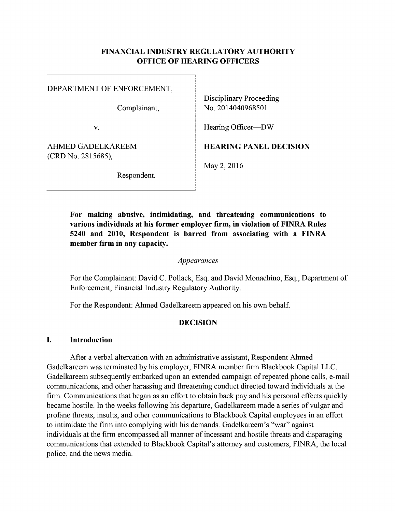### FINANCIAL INDUSTRY REGULATORY AUTHORITY OFFICE OF HEARING OFFICERS

| DEPARTMENT OF ENFORCEMENT,<br>Complainant, | <b>Disciplinary Proceeding</b><br>No. 2014040968501 |
|--------------------------------------------|-----------------------------------------------------|
| V.                                         | Hearing Officer—DW                                  |
| AHMED GADELKAREEM<br>(CRD No. 2815685),    | <b>HEARING PANEL DECISION</b>                       |
| Respondent.                                | May 2, 2016                                         |

For making abusive, intimidating, and threatening communications to various individuals at his former employer firm, in violation of FINRA Rules 5240 and 2010, Respondent is barred from associating with a FINRA member firm in any capacity.

### Appearances

For the Complainant: David C. Pollack, Esq. and David Monachino, Esq., Department of Enforcement, Financial Industry Regulatory Authority.

For the Respondent: Ahmed Gadelkareem appeared on his own behalf.

#### DECISION

#### I. Introduction

After <sup>a</sup> verbal altercation with an administrative assistant, Respondent Ahmed Gadelkareem was terminated by his employer, FINRA member firm Blackbook Capital LLC. Gadelkareem subsequently embarked upon an extended campaign ofrepeated phone calls, e-mail communications, and other harassing and threatening conduct directed toward individuals at the firm. Communications that began as an effort to obtain back pay and his personal effects quickly became hostile. In the weeks following his departure, Gadelkareem made a series of vulgar and profane threats, insults, and other communications to Blackbook Capital employees in an effort to intimidate the firm into complying with his demands. Gadelkareem's "war" against individuals at the firm encompassed all manner of incessant and hostile threats and disparaging communications that extended to Blackbook Capital's attorney and customers, FINRA, the local police, and the news media.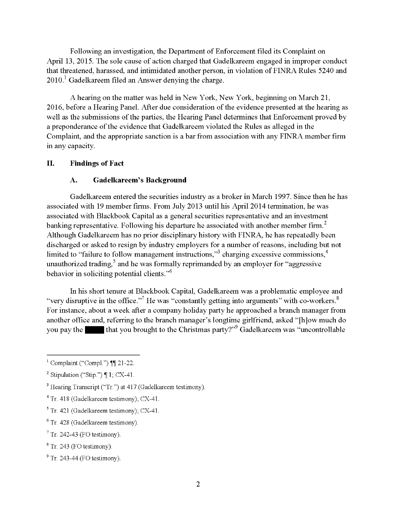Following an investigation, the Department of Enforcement filed its Complaint on April 13, 2015. The sole cause of action charged that Gadelkareem engaged in improper conduct that threatened, harassed, and intimidated another person, in violation of FINRA Rules 5240 and  $2010<sup>1</sup>$  Gadelkareem filed an Answer denying the charge.

A hearing on the matter was held in New York, New York, beginning on March 21, 2016, before a Hearing Panel. After due consideration of the evidence presented at the hearing as well as the submissions of the parties, the Hearing Panel determines that Enforcement proved by a preponderance ofthe evidence that Gadelkareem violated the Rules as alleged in the Complaint, and the appropriate sanction is <sup>a</sup> bar from association with any FINRA member firm in any capacity.

#### II. Findings of Fact

#### A. Gadelkareem's Background

Gadelkareem entered the securities industry as a broker in March 1997. Since then he has associated with 19 member firms. From July 2013 until his April 2014 termination, he was associated with Blackbook Capital as a general securities representative and an investment banking representative. Following his departure he associated with another member firm.<sup>2</sup> Although Gadelkareem has no prior disciplinary history with FINRA, he has repeatedly been discharged or asked to resign by industry employers for a number of reasons, including but not limited to "failure to follow management instructions,"<sup>3</sup> charging excessive commissions,<sup>4</sup> unauthorized trading, $^5$  and he was formally reprimanded by an employer for "aggressive behavior in soliciting potential clients."6

In his short tenure at Blackbook Capital, Gadelkareem was a problematic employee and "very disruptive in the office."<sup>7</sup> He was "constantly getting into arguments" with co-workers.<sup>8</sup> For instance, about <sup>a</sup> week after <sup>a</sup> company holiday party he approached <sup>a</sup> branch manager from another office and, referring to the branch manager's longtime girlfriend, asked "[h]ow much do you pay the  $\blacksquare$  that you brought to the Christmas party?"<sup>9</sup> Gadelkareem was "uncontrollable"

<sup>&</sup>lt;sup>1</sup> Complaint ("Compl.")  $\mathbb{II}$  21-22.

<sup>&</sup>lt;sup>2</sup> Stipulation ("Stip.")  $\P$  1, CX-41.

 $3$  Hearing Transcript ("Tr.") at 417 (Gadelkareem testimony).

 $4$  Tr. 418 (Gadelkareem testimony); CX-41

 $5$  Tr. 421 (Gadelkareem testimony); CX-41

<sup>&</sup>lt;sup>6</sup> Tr. 428 (Gadelkareem testimony)

 $\frac{7}{7}$  Tr. 242-43 (FO testimony)

 ${}^{8}$  Tr. 243 (FO testimony)

 $^9$  Tr. 243-44 (FO testimony)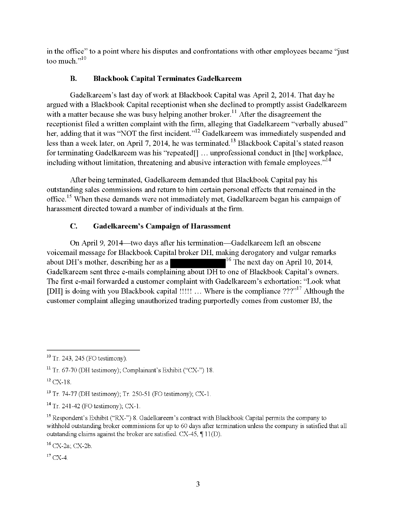in the office" to a point where his disputes and confrontations with other employees became "just too much."<sup>10</sup>

# B. Blackbook Capital Terminates Gadelkareem

Gadelkareem's last day of work at Blackbook Capital was April 2, 2014. That day he argued with a Blackbook Capital receptionist when she declined to promptly assist Gadelkareem with a matter because she was busy helping another broker.<sup>11</sup> After the disagreement the receptionist filed a written complaint with the firm, alleging that Gadelkareem "verbally abused" her, adding that it was "NOT the first incident."<sup>12</sup> Gadelkareem was immediately suspended and less than a week later, on April 7, 2014, he was terminated.<sup>13</sup> Blackbook Capital's stated reason for terminating Gadelkareem was his "repeated<sup>[]</sup>... unprofessional conduct in [the] workplace, including without limitation, threatening and abusive interaction with female employees."<sup>14</sup>

After being terminated, Gadelkareem demanded that Blackbook Capital pay his outstanding sales commissions and return to him certain personal effects that remained in the office.<sup>15</sup> When these demands were not immediately met, Gadelkareem began his campaign of harassment directed toward a number of individuals at the firm.

# C. Gadelkareem's Campaign of Harassment

On April 9, 2014—two days after his termination—Gadelkareem left an obscene voicemail message for Blackbook Capital broker DH, making derogatory and vulgar remarks about DH's mother, describing her as a  $\blacksquare$ <sup>16</sup> The next day on April 10, 2014, Gadelkareem sent three e-mails complaining about DH to one of Blackbook Capital's owners. The first e-mail forwarded a customer complaint with Gadelkareem's exhortation: "Look what [DH] is doing with you Blackbook capital !!!!!... Where is the compliance  $?$ ??"<sup>17</sup> Although the customer complaint alleging unauthorized trading purportedly comes from customer BJ, the

<sup>16</sup> CX-2a; CX-2b

 $17$  CX-4.

 $10$  Tr. 243, 245 (FO testimony).

<sup>&</sup>lt;sup>11</sup> Tr. 67-70 (DH testimony); Complainant's Exhibit ("CX-") 18.

 $12$  CX-18.

<sup>13</sup> Tr 74-77 (DH testimony), Tr 250-51 (FO testimony), CX-1

 $14$  Tr. 241-42 (FO testimony); CX-1.

<sup>&</sup>lt;sup>15</sup> Respondent's Exhibit ("RX-") 8. Gadelkareem's contract with Blackbook Capital permits the company to withhold outstanding broker commissions for up to 60 days after termination unless the company is satisfied that all outstanding claims against the broker are satisfied.  $CX-45$ ,  $\P$  11(D).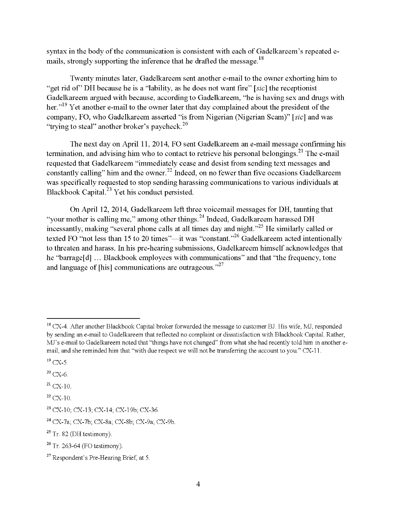syntax in the body of the communication is consistent with each of Gadelkareem's repeated emails, strongly supporting the inference that he drafted the message.<sup>18</sup>

Twenty minutes later, Gadelkareem sent another e-mail to the owner exhorting him to "get rid of" DH because he is a "lability, as he does not want fire" [sic] the receptionist Gadelkareem argued with because, according to Gadelkareem, "he is having sex and drugs with her."<sup>19</sup> Yet another e-mail to the owner later that day complained about the president of the company, FO, who Gadelkareem asserted "is from Nigerian (Nigerian Scam)" [sic] and was "trying to steal" another broker's paycheck.<sup>20</sup>

The next day on April 11, 2014, FO sent Gadelkareem an e-mail message confirming his termination, and advising him who to contact to retrieve his personal belongings.<sup>21</sup> The e-mail requested that Gadelkareem "immediately cease and desist from sending text messages and constantly calling" him and the owner.<sup>22</sup> Indeed, on no fewer than five occasions Gadelkareem was specifically requested to stop sending harassing communications to various individuals at Blackbook Capital.<sup>23</sup> Yet his conduct persisted.

On April 12, 2014, Gadelkareem left three voicemail messages for DH, taunting that "your mother is calling me," among other things.<sup>24</sup> Indeed, Gadelkareem harassed DH incessantly, making "several phone calls at all times day and night."<sup>25</sup> He similarly called or texted FO "not less than 15 to 20 times"--- it was "constant."<sup>26</sup> Gadelkareem acted intentionally to threaten and harass. In his pre-hearing submissions, Gadelkareem himself acknowledges that he "barrage[d]... Blackbook employees with communications" and that "the frequency, tone and language of [his] communications are outrageous. $n^{27}$ 

 $21$  CX-10.

<sup>&</sup>lt;sup>18</sup> CX-4. After another Blackbook Capital broker forwarded the message to customer BJ. His wife, MJ, responded by sending an e-mail to Gadelkareem that reflected no complaint or dissatisfaction with Blackbook Capital. Rather, MJ's e-mail to Gadelkareem noted that "things have not changed" from what she had recently told him in another email, and she reminded him that "with due respect we will not be transferring the account to you." CX-11.

 $19$  CX-5.

 $20$  CX-6.

 $22$  CX-10.

<sup>23</sup> CX-10; CX-13; CX-14; CX-19b; CX-36

<sup>24</sup> CX-7a; CX-7b; CX-8a; CX-8b; CX-9a; CX-91?

 $25$  Tr. 82 (DH testimony).

 $26$  Tr. 263-64 (FO testimony).

 $27$  Respondent's Pre-Hearing Brief, at 5.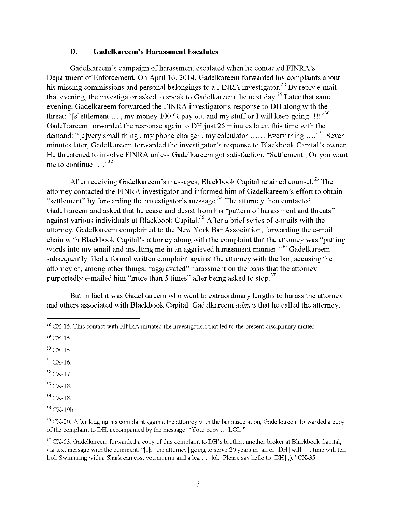#### D. Gadelkareem's Harassment Escalates

Gadelkareem's campaign of harassment escalated when he contacted FINRA's Department of Enforcement. On April 16, 2014, Gadelkareem forwarded his complaints about his missing commissions and personal belongings to a FINRA investigator.<sup>28</sup> By reply e-mail that evening, the investigator asked to speak to Gadelkareem the next day.<sup>29</sup> Later that same evening, Gadelkareem forwarded the FINRA investigator's response to DH along with the threat: "[s]ettlement ..., my money 100 % pay out and my stuff or I will keep going !!!!"<sup>30</sup> Gadelkareem forwarded the response again to DH just 25 minutes later, this time with the demand: "[e]very small thing, my phone charger, my calculator...... Every thing...."<sup>31</sup> Seven minutes later, Gadelkareem forwarded the investigator's response to Blackbook Capital's owner. He threatened to involve FINRA unless Gadelkareem got satisfaction: "Settlement, Or you want me to continue ...."<sup>32</sup>

After receiving Gadelkareem's messages, Blackbook Capital retained counsel.<sup>33</sup> The attorney contacted the FINRA investigator and informed him of Gadelkareem's effort to obtain "settlement" by forwarding the investigator's message. $34$  The attorney then contacted Gadelkareem and asked that he cease and desist from his "pattern of harassment and threats" against various individuals at Blackbook Capital.<sup>35</sup> After a brief series of e-mails with the attorney, Gadelkareem complained to the New York Bar Association, forwarding the e-mail chain with Blackbook Capital's attorney along with the complaint that the attorney was "putting words into my email and insulting me in an aggrieved harassment manner."<sup>36</sup> Gadelkareem subsequently filed a formal written complaint against the attorney with the bar, accusing the attorney of, among other things, "aggravated" harassment on the basis that the attorney purportedly e-mailed him "more than 5 times" after being asked to stop.<sup>37</sup>

But in fact it was Gadelkareem who went to extraordinary lengths to harass the attorney and others associated with Blackbook Capital. Gadelkareem admits that he called the attorney,

 $32$  CX-17.

 $33$  CX-18.

 $34$  CX-18.

 $35 \text{ CX}-19b$ 

 $28$  CX-15. This contact with FINRA initiated the investigation that led to the present disciplinary matter.

 $29$  CX-15.

 $30$  CX-15.

 $31$  CX-16.

<sup>&</sup>lt;sup>36</sup> CX-20. After lodging his complaint against the attorney with the bar association, Gadelkareem forwarded a copy of the complaint to DH, accompanied by the message: "Your copy ... LOL."

 $37$  CX-53. Gadelkareem forwarded a copy of this complaint to DH's brother, another broker at Blackbook Capital, via text message with the comment: "[i]s [the attorney] going to serve 20 years in jail or [DH] will. time will tell Lol. Swimming with a Shark can cost you an arm and a leg.... lol. Please say hello to [DH];)." CX-35.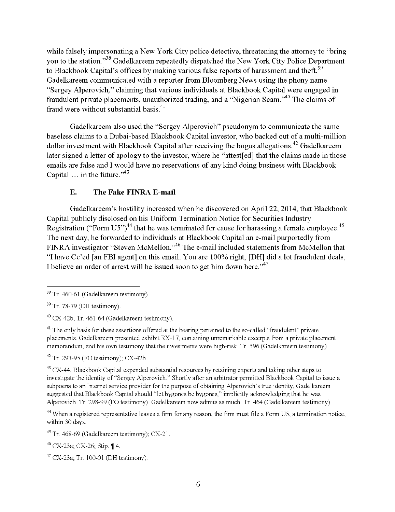while falsely impersonating a New York City police detective, threatening the attorney to "bring you to the station."<sup>38</sup> Gadelkareem repeatedly dispatched the New York City Police Department to Blackbook Capital's offices by making various false reports of harassment and theft.<sup>39</sup> Gadelkareem communicated with <sup>a</sup> reporter from Bloomberg News using the phony name "Sergey Alperovich," claiming that various individuals at Blackbook Capital were engaged in fraudulent private placements, unauthorized trading, and a "Nigerian Scam."<sup>40</sup> The claims of fraud were without substantial basis.<sup>41</sup>

Gadelkareem also used the "Sergey Alperovich" pseudonym to communicate the same baseless claims to <sup>a</sup> Dubai-based Blackbook Capital investor, who backed out of <sup>a</sup> multi-million dollar investment with Blackbook Capital after receiving the bogus allegations.<sup>42</sup> Gadelkareem later signed a letter of apology to the investor, where he "attest[ed] that the claims made in those emails are false and I would have no reservations of any kind doing business with Blackbook Capital  $\ldots$  in the future."<sup>43</sup>

### E. The Fake FINRA E-mail

Gadelkareem's hostility increased when he discovered on April 22, 2014, that Blackbook Capital publicly disclosed on his Uniform Termination Notice for Securities Industry Registration ("Form  $U5$ ")<sup>44</sup> that he was terminated for cause for harassing a female employee.<sup>45</sup> The next day, he forwarded to individuals at Blackbook Capital an e-mail purportedly from FINRA investigator "Steven McMellon."<sup>46</sup> The e-mail included statements from McMellon that "I have Cc'ed [an FBI agent] on this email. You are 100% right, [DH] did <sup>a</sup> lot fraudulent deals, I believe an order of arrest will be issued soon to get him down here.<sup> $37$ </sup>

<sup>41</sup> The only basis for these assertions offered at the hearing pertained to the so-called "fraudulent" private placements. Gadelkareem presented exhibit RX-17, containing unremarkable excerpts from a private placement memorandum, and his own testimony that the investments were high-risk. Tr. 596 (Gadelkareem testimony).

 $42$  Tr. 293-95 (FO testimony); CX-42b.

<sup>43</sup> CX-44. Blackbook Capital expended substantial resources by retaining experts and taking other steps to investigate the identity of "Sergey Alperovich." Shortly after an arbitrator permitted Blackbook Capital to issue <sup>a</sup> subpoena to an Internet service provider for the purpose of obtaining Alperovich's true identity, Gadelkareem suggested that Blackbook Capital should "let bygones be bygones," implicitly acknowledging that he was Alperovich Tr 298-99 (FO testimony) Gadelkareem now admits as much Tr. <sup>464</sup> (Gadelkareem testimony)

 $44$  When a registered representative leaves a firm for any reason, the firm must file a Form U5, a termination notice, within 30 days

 $45$  Tr. 468-69 (Gadelkareem testimony); CX-21.

 $46$  CX-23a; CX-26; Stip.  $\P$  4.

 $47$  CX-23a; Tr. 100-01 (DH testimony).

<sup>&</sup>lt;sup>38</sup> Tr. 460-61 (Gadelkareem testimony).

<sup>39</sup> Tr. 78.79 (DH testimony)

 $40$  CX-42b; Tr. 461-64 (Gadelkareem testimony).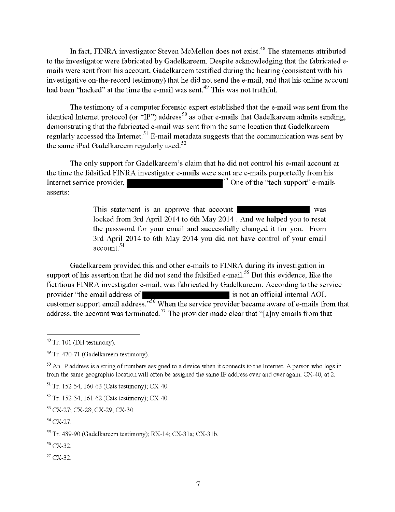In fact, FINRA investigator Steven McMellon does not exist.<sup>48</sup> The statements attributed to the investigator were fabricated by Gadelkareem. Despite acknowledging that the fabricated emails were sent from his account, Gadelkareem testified during the hearing (consistent with his investigative on-the-record testimony) that he did not send the e-mail, and that his online account had been "hacked" at the time the e-mail was sent.<sup> $49$ </sup> This was not truthful.

The testimony of <sup>a</sup> computer forensic expert established that the e-mail was sent from the identical Internet protocol (or "IP") address<sup>50</sup> as other e-mails that Gadelkareem admits sending, demonstrating that the fabricated e-mail was sent from the same location that Gadelkareem regularly accessed the Internet.<sup>51</sup> E-mail metadata suggests that the communication was sent by the same iPad Gadelkareem regularly used. $52$ 

The only support for Gadelkareem's claim that he did not control his e-mail account at the time the falsified FINRA investigator e-mails were sent are e-mails purportedly from his Internet service provider,  $\frac{53}{8}$  One of the "tech support" e-mails asserts:

> This statement is an approve that account XXXXXXXXXX was locked from 3rd April 2014 to 6th May 2014 . And we helped you to reset the password for your email and successfully changed it for you. From 3rd April 2014 to 6th May 2014 you did not have control of your email account. <sup>54</sup>

Gadelkareem provided this and other e-mails to FINRA during its investigation in support of his assertion that he did not send the falsified e-mail.<sup>55</sup> But this evidence, like the fictitious FINRA investigator e-mail, was fabricated by Gadelkareem. According to the service provider "the email address of XXXX" is not an official internal AOL customer support email address."<sup>56</sup> When the service provider became aware of e-mails from that address, the account was terminated.<sup>57</sup> The provider made clear that "[a]ny emails from that

<sup>56</sup> CX-32

 $57$  CX-32.

 $48$  Tr. 101 (DH testimony).

<sup>&</sup>lt;sup>49</sup> Tr. 470-71 (Gadelkareem testimony).

<sup>&</sup>lt;sup>50</sup> An IP address is a string of numbers assigned to a device when it connects to the Internet. A person who logs in from the same geographic location will often be assigned the same IP address over and over again. CX-40, at 2.

<sup>51</sup> Tr 152-54, 160-63 (Cats testimony), CX-40

 $52$  Tr. 152-54, 161-62 (Cats testimony), CX-40.

<sup>53</sup> CX.27; CX-28; CX-29; CX-30

<sup>&</sup>lt;sup>54</sup> CX-27.

<sup>55</sup> Tr 489-90 (Gadelkareem testimony); RX-14; CX-31a; CX-31b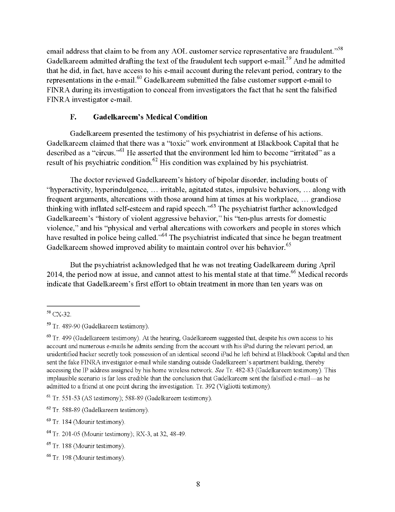email address that claim to be from any AOL customer service representative are fraudulent."<sup>58</sup> Gadelkareem admitted drafting the text of the fraudulent tech support e-mail.<sup>59</sup> And he admitted that he did, in fact, have access to his e-mail account during the relevant period, contrary to the representations in the e-mail.<sup>60</sup> Gadelkareem submitted the false customer support e-mail to FINRA during its investigation to conceal from investigators the fact that he sent the falsified FINRA investigator e-mail.

## F. Gadelkareem's Medical Condition

Gadelkareem presented the testimony of his psychiatrist in defense of his actions. Gadelkareem claimed that there was a "toxic" work environment at Blackbook Capital that he described as a "circus."<sup>61</sup> He asserted that the environment led him to become "irritated" as a result of his psychiatric condition.<sup>62</sup> His condition was explained by his psychiatrist.

The doctor reviewed Gadelkareem's history of bipolar disorder, including bouts of "hyperactivity, hyperindulgence,... irritable, agitated states, impulsive behaviors,... along with frequent arguments, altercations with those around him at times at his workplace, ... grandiose thinking with inflated self-esteem and rapid speech.<sup> $,63$ </sup> The psychiatrist further acknowledged Gadelkareem's "history of violent aggressive behavior," his ''ten-plus arrests for domestic violence," and his "physical and verbal altercations with coworkers and people in stores which have resulted in police being called."<sup>64</sup> The psychiatrist indicated that since he began treatment Gadelkareem showed improved ability to maintain control over his behavior.<sup>65</sup>

But the psychiatrist acknowledged that he was not treating Gadelkareem during April 2014, the period now at issue, and cannot attest to his mental state at that time.<sup>66</sup> Medical records indicate that Gadelkareem's first effort to obtain treatment in more than ten years was on

<sup>58</sup> CX-32

<sup>&</sup>lt;sup>59</sup> Tr. 489-90 (Gadelkareem testimony).

<sup>&</sup>lt;sup>60</sup> Tr. 499 (Gadelkareem testimony). At the hearing, Gadelkareem suggested that, despite his own access to his account and numerous e-mails he admits sending from the account with his iPad during the relevant period, an unidentified hacker secretly took possession of an identical second iPad he left behind at Blackbook Capital and then sent the fake FINRA investigator e-mail while standing outside Gadelkareem's apartment building, thereby accessing the IP address assigned by his home wireless network. See Tr. 482-83 (Gadelkareem testimony). This implausible scenario is far less credible than the conclusion that Gadelkareem sent the falsified e-mail-as he admitted to a friend at one point during the investigation Tr. 392 (Vigliotti testimony)

 $61$  Tr. 551-53 (AS testimony), 588-89 (Gadelkareem testimony).

 $62$  Tr. 588-89 (Gadelkareem testimony).

<sup>&</sup>lt;sup>63</sup> Tr. 184 (Mounir testimony).

<sup>64</sup> Tr 201-05 (Mounir testimony), RX-3, at 32,48-49

<sup>&</sup>lt;sup>65</sup> Tr. 188 (Mounir testimony).

<sup>&</sup>lt;sup>66</sup> Tr. 198 (Mounir testimony).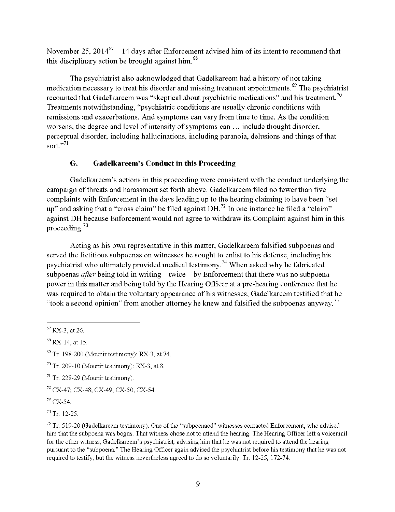November 25,  $2014^{67} - 14$  days after Enforcement advised him of its intent to recommend that this disciplinary action be brought against him. $<sup>68</sup>$ </sup>

The psychiatrist also acknowledged that Gadelkareem had a history of not taking medication necessary to treat his disorder and missing treatment appointments.<sup>69</sup> The psychiatrist recounted that Gadelkareem was "skeptical about psychiatric medications" and his treatment.<sup>70</sup> Treatments notwithstanding, "psychiatric conditions are usually chronic conditions with remissions and exacerbations. And symptoms can vary from time to time. As the condition worsens, the degree and level of intensity of symptoms can... include thought disorder, perceptual disorder, including hallucinations, including paranoia, delusions and things ofthat sort. $571$ 

## G. Gadelkareem's Conduct in this Proceeding

Gadelkareem's actions in this proceeding were consistent with the conduct underlying the campaign of threats and harassment set forth above. Gadelkareem filed no fewer than five complaints with Enforcement in the days leading up to the hearing claiming to have been "set up" and asking that a "cross claim" be filed against DH.<sup>72</sup> In one instance he filed a "claim" against DH because Enforcement would not agree to withdraw its Complaint against him in this proceeding. $73$ 

Acting as his own representative in this matter, Gadelkareem falsified subpoenas and served the fictitious subpoenas on witnesses he sought to enlist to his defense, including his psychiatrist who ultimately provided medical testimony.<sup>74</sup> When asked why he fabricated subpoenas *after* being told in writing—twice—by Enforcement that there was no subpoena power in this matter and being told by the Hearing Officer at <sup>a</sup> pre-hearing conference that he was required to obtain the voluntary appearance of his witnesses, Gadelkareem testified that he "took a second opinion" from another attorney he knew and falsified the subpoenas anyway.<sup>75</sup>

 $67$  RX-3, at 26.

 $68$  RX-14, at 15.

 $69$  Tr. 198-200 (Mounir testimony); RX-3, at 74.

 $70$  Tr. 209-10 (Mounir testimony); RX-3, at 8.

 $71$  Tr. 228-29 (Mounir testimony).

<sup>72</sup> CX-47; CX-48; CX-49; CX-50; CX-54

 $73$  CX-54.

 $74$  Tr. 12-25.

 $75$  Tr. 519-20 (Gadelkareem testimony). One of the "subpoenaed" witnesses contacted Enforcement, who advised him that the subpoena was bogus. That witness chose not to attend the hearing. The Hearing Officer left a voicemail for the other witness, Gadelkareem's psychiatrist, advising him that he was not required to attend the hearing pursuant to the "subpoena." The Hearing Officer again advised the psychiatrist before his testimony that he was not required to testify, but the witness nevertheless agreed to do so voluntarily. Tr. 12-25, 172-74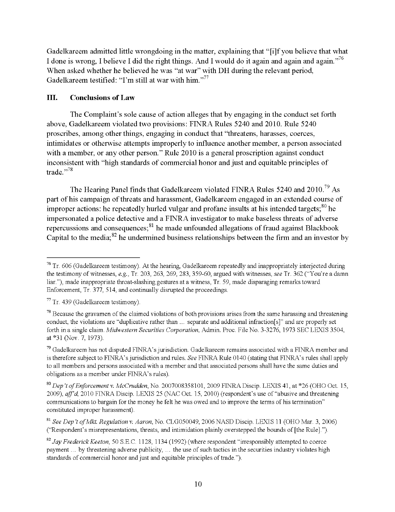Gadelkareem admitted little wrongdoing in the matter, explaining that "[i]f you believe that what I done is wrong, I believe I did the right things. And I would do it again and again and again.<sup>76</sup> When asked whether he believed he was "at war" with DH during the relevant period, Gadelkareem testified: "I'm still at war with him."<sup>77</sup>

### III. Conclusions of Law

The Complaint's sole cause of action alleges that by engaging in the conduct set forth above, Gadelkareem violated two provisions: FINRA Rules 5240 and 2010. Rule 5240 proscribes, among other things, engaging in conduct that ''threatens, harasses, coerces, intimidates or otherwise attempts improperly to influence another member, a person associated with a member, or any other person." Rule 2010 is a general proscription against conduct inconsistent with "high standards of commercial honor and just and equitable principles of trade."<sup>78</sup>

The Hearing Panel finds that Gadelkareem violated FINRA Rules 5240 and  $2010^{79}$  As part of his campaign of threats and harassment, Gadelkareem engaged in an extended course of improper actions: he repeatedly hurled vulgar and profane insults at his intended targets;  $80$  he impersonated a police detective and a FINRA investigator to make baseless threats of adverse repercussions and consequences;  $n<sup>81</sup>$  he made unfounded allegations of fraud against Blackbook Capital to the media;  ${}^{82}$  he undermined business relationships between the firm and an investor by

<sup>&</sup>lt;sup>76</sup> Tr. 606 (Gadelkareem testimony). At the hearing, Gadelkareem repeatedly and inappropriately interjected during the testimony of witnesses, e.g., Tr. 203, 263, 269, 283, 359-60, argued with witnesses, see Tr. 362 ("You're a damn liar."), made inappropriate throat-slashing gestures at a witness, Tr. 59, made disparaging remarks toward Enforcement, Tr. 377, 514, and continually disrupted the proceedings.

 $77$  Tr. 439 (Gadelkareem testimony).

 $78$  Because the gravamen of the claimed violations of both provisions arises from the same harassing and threatening conduct, the violations are "duplicative rather than... separate and additional infraction[s]" and are properly set forth in a single claim. Midwestern Securities Corporation, Admin. Proc. File No. 3-3276, 1973 SEC LEXIS 3504, at \*3l (Nov. 7, 1973)

 $79$  Gadelkareem has not disputed FINRA's jurisdiction. Gadelkareem remains associated with a FINRA member and is therefore subject to FINRA's jurisdiction and rules. See FINRA Rule 0140 (stating that FINRA's rules shall apply to all members and persons associated with <sup>a</sup> member and that associated persons shall have the same duties and obligations as a member under FINRA's rules)

<sup>&</sup>lt;sup>80</sup> Dep't of Enforcement v. McCrudden, No. 2007008358101, 2009 FINRA Discip. LEXIS 41, at \*26 (OHO Oct. 15, 2009), aff'd, 2010 FINRA Discip. LEXIS 25 (NAC Oct. 15, 2010) (respondent's use of "abusive and threatening communications to bargain for the money he felt he was owed and to improve the terms of his termination" constituted improper harassment).

<sup>&</sup>lt;sup>81</sup> See Dep't of Mkt. Regulation v. Aaron, No. CLG050049, 2006 NASD Discip. LEXIS 11 (OHO Mar. 3, 2006) ("Respondent's misrepresentations, threats, and intimidation plainly overstepped the bounds of [the Rule].").

 $82$  Jay Frederick Keeton, 50 S.E.C. 1128, 1134 (1992) (where respondent "irresponsibly attempted to coerce payment ... by threatening adverse publicity, ... the use of such tactics in the securities industry violates high payment ... by uncatelling adverse publicity, ... the use of such lactics in a<br>standards of commercial honor and just and equitable principles of trade.").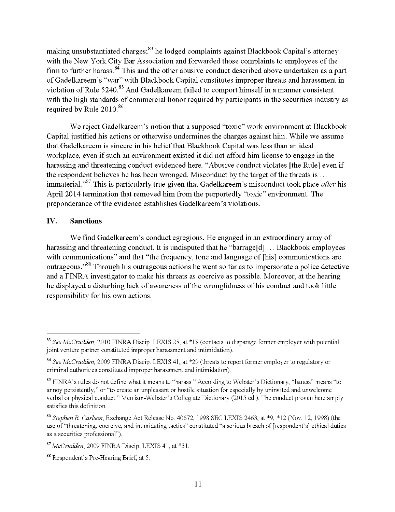making unsubstantiated charges;<sup>83</sup> he lodged complaints against Blackbook Capital's attorney with the New York City Bar Association and forwarded those complaints to employees of the firm to further harass.<sup>84</sup> This and the other abusive conduct described above undertaken as a part of Gadelkareem's "war" with Blackbook Capital constitutes improper threats and harassment in violation of Rule 5240.<sup>85</sup> And Gadelkareem failed to comport himself in a manner consistent with the high standards of commercial honor required by participants in the securities industry as required by Rule  $2010^{86}$ 

We reject Gadelkareem's notion that a supposed "toxic" work environment at Blackbook Capital justified his actions or otherwise undermines the charges against him. While we assume that Gadelkareem is sincere in his belief that Blackbook Capital was less than an ideal workplace, even if such an environment existed it did not afford him license to engage in the harassing and threatening conduct evidenced here. "Abusive conduct violates [the Rule] even if the respondent believes he has been wronged. Misconduct by the target of the threats is... immaterial.<sup>87</sup> This is particularly true given that Gadelkareem's misconduct took place *after* his April 2014 termination that removed him from the purportedly "toxic" environment. The preponderance of the evidence establishes Gadelkareem's violations.

### IV. Sanctions

We find Gadelkareem's conduct egregious. He engaged in an extraordinary array of harassing and threatening conduct. It is undisputed that he "barrage[d] ... Blackbook employees with communications" and that "the frequency, tone and language of [his] communications are outrageous."<sup>88</sup> Through his outrageous actions he went so far as to impersonate a police detective and a FINRA investigator to make his threats as coercive as possible. Moreover, at the hearing he displayed a disturbing lack of awareness of the wrongfulness of his conduct and took little responsibility for his own actions.

<sup>83</sup> See McCrudden, 2010 FINRA Discip. LEXIS 25, at \*18 (contacts to disparage former employer with potential joint venture partner constituted improper harassment and intimidation).

<sup>&</sup>lt;sup>84</sup> See McCrudden, 2009 FINRA Discip. LEXIS 41, at \*29 (threats to report former employer to regulatory or criminal authorities constituted improper harassment and intimidation).

<sup>&</sup>lt;sup>85</sup> FINRA's rules do not define what it means to "harass." According to Webster's Dictionary, "harass" means "to annoy persistently," or "to create an unpleasant or hostile situation for especially by uninvited and unwelcome verbal or physical conduct " Merriam-Webster's Collegiate Dictionary (2015 ed ). The conduct proven here amply satisfies this definition.

<sup>&</sup>lt;sup>86</sup> Stephen B. Carlson, Exchange Act Release No. 40672, 1998 SEC LEXIS 2463, at \*9, \*12 (Nov. 12, 1998) (the use of "threatening, coercive, and intimidating tactics" constituted "a serious breach of [respondent's] ethical duties as a securities professional").

<sup>&</sup>lt;sup>87</sup> McCrudden, 2009 FINRA Discip. LEXIS 41, at \*31.

<sup>88</sup> Respondent's Pre-Hearing Brief, at 5.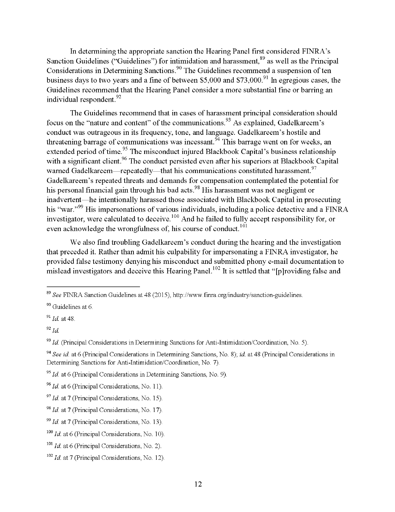In determining the appropriate sanction the Hearing Panel first considered FINRA's Sanction Guidelines ("Guidelines") for intimidation and harassment,<sup>89</sup> as well as the Principal Considerations in Determining Sanctions.<sup>90</sup> The Guidelines recommend a suspension of ten business days to two years and a fine of between \$5,000 and \$73,000.<sup>91</sup> In egregious cases, the Guidelines recommend that the Hearing Panel consider a more substantial fine or barring an individual respondent. <sup>92</sup>

The Guidelines recommend that in cases of harassment principal consideration should focus on the "nature and content" of the communications.<sup>93</sup> As explained, Gadelkareem's conduct was outrageous in its frequency, tone, and language. Gadelkareem's hostile and threatening barrage of communications was incessant.  $\frac{94}{9}$  This barrage went on for weeks, an extended period of time.<sup>95</sup> The misconduct injured Blackbook Capital's business relationship with a significant client.<sup>96</sup> The conduct persisted even after his superiors at Blackbook Capital warned Gadelkareem—repeatedly—that his communications constituted harassment.<sup>97</sup> Gadelkareem's repeated threats and demands for compensation contemplated the potential for his personal financial gain through his bad acts.<sup>98</sup> His harassment was not negligent or inadvertent—he intentionally harassed those associated with Blackbook Capital in prosecuting his "war."<sup>99</sup> His impersonations of various individuals, including a police detective and a FINRA investigator, were calculated to deceive. $100$  And he failed to fully accept responsibility for, or even acknowledge the wrongfulness of, his course of conduct.<sup>101</sup>

We also find troubling Gadelkareem's conduct during the hearing and the investigation that preceded it. Rather than admit his culpability for impersonating a FINRA investigator, he provided false testimony denying his misconduct and submitted phony e-mail documentation to mislead investigators and deceive this Hearing Panel.<sup>102</sup> It is settled that "[p]roviding false and

<sup>&</sup>lt;sup>89</sup> See FINRA Sanction Guidelines at 48 (2015), http://www.finra.org/industry/sanction-guidelines.

<sup>90</sup> Guidelines at 6.

 $91$  *Id.* at 48.

 $92$  Id.

 $93$  Id. (Principal Considerations in Determining Sanctions for Anti-Intimidation/Coordination, No. 5).

<sup>&</sup>lt;sup>94</sup> See id. at 6 (Principal Considerations in Determining Sanctions, No. 8); id. at 48 (Principal Considerations in Determining Sanctions for Anti-Intimidation/Coordination, No. 7)

 $95$  Id. at 6 (Principal Considerations in Determining Sanctions, No. 9).

 $96$  *Id.* at 6 (Principal Considerations, No. 11).

 $97$  *Id.* at 7 (Principal Considerations, No. 15).

 $98$  *Id.* at 7 (Principal Considerations, No. 17).

 $^{99}$  *Id.* at 7 (Principal Considerations, No. 13).

 $100$  *Id.* at 6 (Principal Considerations, No. 10).

 $101$  *Id.* at 6 (Principal Considerations, No. 2).

 $102$  *Id.* at 7 (Principal Considerations, No. 12).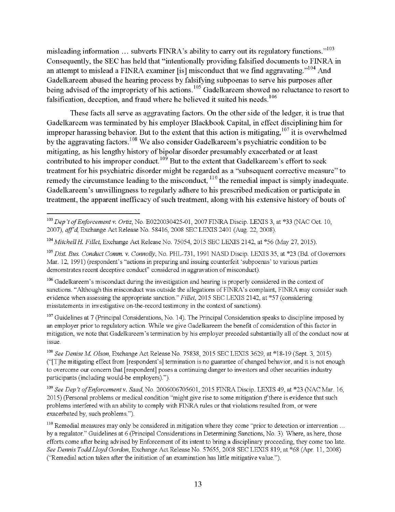misleading information ... subverts FINRA's ability to carry out its regulatory functions.<sup>103</sup> Consequently, the SEC has held that "intentionally providing falsified documents to FINRA in an attempt to mislead a FINRA examiner [is] misconduct that we find aggravating."<sup>104</sup> And Gadelkareem abused the hearing process by falsifying subpoenas to serve his purposes after being advised of the impropriety of his actions. <sup>105</sup> Gadelkareem showed no reluctance to resort to falsification, deception, and fraud where he believed it suited his needs.<sup>106</sup>

These facts all serve as aggravating factors. On the other side of the ledger, it is true that Gadelkareem was terminated by his employer Blackbook Capital, in effect disciplining him for improper harassing behavior. But to the extent that this action is mitigating,  $107$  it is overwhelmed by the aggravating factors.<sup>108</sup> We also consider Gadelkareem's psychiatric condition to be mitigating, as his lengthy history of bipolar disorder presumably exacerbated or at least contributed to his improper conduct.  $109$  But to the extent that Gadelkareem's effort to seek treatment for his psychiatric disorder might be regarded as a "subsequent corrective measure" to remedy the circumstance leading to the misconduct, <sup>110</sup> the remedial impact is simply inadequate. Gadelkareem's unwillingness to regularly adhere to his prescribed medication or participate in treatment, the apparent inefficacy of such treatment, along with his extensive history of bouts of

<sup>107</sup> Guidelines at 7 (Principal Considerations, No. 14). The Principal Consideration speaks to discipline imposed by an employer prior to regulatory action. While we give Gadelkareem the benefit of consideration ofthis factor in mitigation, we note that Gadelkareem's terminationby his employer preceded substantially all ofthe conduct now at 1SSUe.

<sup>109</sup> See Dep't of Enforcement v. Saad, No. 2006006705601, 2015 FINRA Discip, LEXIS 49, at \*23 (NAC Mar. 16,  $2015$ ) (Personal problems or medical condition "might give rise to some mitigation *if* there is evidence that such problems interfered with an ability to comply with FINRA rules or that violations resulted from, or were exacerbated by, such problems.").

 $103$  Dep't of Enforcement v. Ortiz, No. E0220030425-01, 2007 FINRA Discip. LEXIS 3, at \*33 (NAC Oct. 10, 2007), aff'd Exchange Act Release No. 58416, 2008 SEC LEXIS 2401 (Aug. 22, 2008).

<sup>&</sup>lt;sup>104</sup> Mitchell H. Fillet, Exchange Act Release No. 75054, 2015 SEC LEXIS 2142, at \*56 (May 27, 2015).

<sup>&</sup>lt;sup>105</sup> Dist. Bus. Conduct Comm. v. Connolly, No. PHL-731, 1991 NASD Discip. LEXIS 35, at \*23 (Bd. of Governors Mar. 12, 1991) (respondent's "actions in preparing and issuing counterfeit 'subpoenas'to various parties demonstrates recent deceptive conduct" considered in aggravation of misconduct).

<sup>&</sup>lt;sup>106</sup> Gadelkareem's misconduct during the investigation and hearing is properly considered in the context of sanctions. "Although this misconduct was outside the allegations of FINRA's complaint, FINRA may consider such evidence when assessing the appropriate sanction." Fillet, 2015 SEC LEXIS 2142, at \*57 (considering misstatements in investigative on-the-record testimony in the context of sanctions).

<sup>&</sup>lt;sup>108</sup> See Denise M. Olson, Exchange Act Release No. 75838, 2015 SEC LEXIS 3629, at \*18-19 (Sept. 3, 2015) ("[T]he mitigating effect from [respondent's] termination is no guarantee of changed behavior, and it is not enough to overcome our concern that [respondent] poses a continuing danger to investors and other securities industry participants (including would-be employers).").

<sup>&</sup>lt;sup>110</sup> Remedial measures may only be considered in mitigation where they come "prior to detection or intervention... by a regulator." Guidelines at 6 (Principal Considerations in Determining Sanctions, No. 3). Where, as here, those efforts come after being advised by Enforcement of its intent to bring <sup>a</sup> disciplinary proceeding, they come too late. See Dennis ToddLloyd Gordon, Exchange Act Release No 57655,2008 SEC LEXIS 819, at \*68 (Apr. 11,2008) ("Remedial action taken after the initiation of an examination has little mitigative value.").